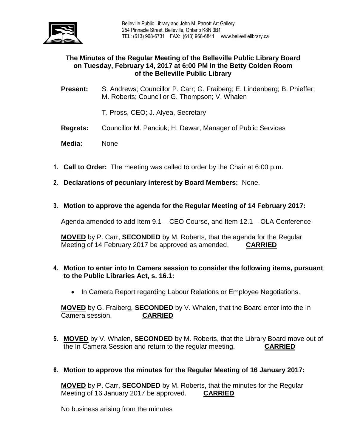

## **The Minutes of the Regular Meeting of the Belleville Public Library Board on Tuesday, February 14, 2017 at 6:00 PM in the Betty Colden Room of the Belleville Public Library**

**Present:** S. Andrews; Councillor P. Carr; G. Fraiberg; E. Lindenberg; B. Phieffer; M. Roberts; Councillor G. Thompson; V. Whalen

T. Pross, CEO; J. Alyea, Secretary

**Regrets:** Councillor M. Panciuk; H. Dewar, Manager of Public Services

**Media:** None

- **1. Call to Order:** The meeting was called to order by the Chair at 6:00 p.m.
- **2. Declarations of pecuniary interest by Board Members:** None.
- **3. Motion to approve the agenda for the Regular Meeting of 14 February 2017:**

Agenda amended to add Item 9.1 – CEO Course, and Item 12.1 – OLA Conference

**MOVED** by P. Carr, **SECONDED** by M. Roberts, that the agenda for the Regular Meeting of 14 February 2017 be approved as amended. **CARRIED**

- **4. Motion to enter into In Camera session to consider the following items, pursuant to the Public Libraries Act, s. 16.1:** 
	- In Camera Report regarding Labour Relations or Employee Negotiations.

**MOVED** by G. Fraiberg, **SECONDED** by V. Whalen, that the Board enter into the In Camera session. **CARRIED**

- **5. MOVED** by V. Whalen, **SECONDED** by M. Roberts, that the Library Board move out of the In Camera Session and return to the regular meeting. **CARRIED**
- **6. Motion to approve the minutes for the Regular Meeting of 16 January 2017:**

**MOVED** by P. Carr, **SECONDED** by M. Roberts, that the minutes for the Regular Meeting of 16 January 2017 be approved. **CARRIED**

No business arising from the minutes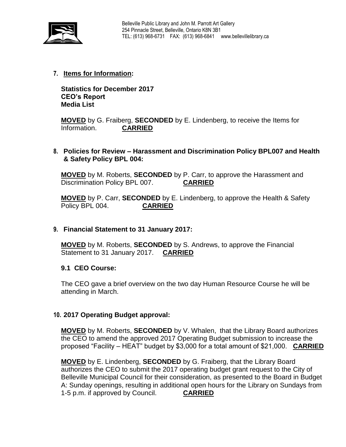

## **7. Items for Information:**

**Statistics for December 2017 CEO's Report Media List**

**MOVED** by G. Fraiberg, **SECONDED** by E. Lindenberg, to receive the Items for Information. **CARRIED**

## **8. Policies for Review – Harassment and Discrimination Policy BPL007 and Health & Safety Policy BPL 004:**

**MOVED** by M. Roberts, **SECONDED** by P. Carr, to approve the Harassment and Discrimination Policy BPL 007. **CARRIED**

**MOVED** by P. Carr, **SECONDED** by E. Lindenberg, to approve the Health & Safety Policy BPL 004. **CARRIED**

#### **9. Financial Statement to 31 January 2017:**

**MOVED** by M. Roberts, **SECONDED** by S. Andrews, to approve the Financial Statement to 31 January 2017. **CARRIED**

#### **9.1 CEO Course:**

The CEO gave a brief overview on the two day Human Resource Course he will be attending in March.

#### **10. 2017 Operating Budget approval:**

**MOVED** by M. Roberts, **SECONDED** by V. Whalen, that the Library Board authorizes the CEO to amend the approved 2017 Operating Budget submission to increase the proposed "Facility – HEAT" budget by \$3,000 for a total amount of \$21,000. **CARRIED**

**MOVED** by E. Lindenberg, **SECONDED** by G. Fraiberg, that the Library Board authorizes the CEO to submit the 2017 operating budget grant request to the City of Belleville Municipal Council for their consideration, as presented to the Board in Budget A: Sunday openings, resulting in additional open hours for the Library on Sundays from 1-5 p.m. if approved by Council. **CARRIED**